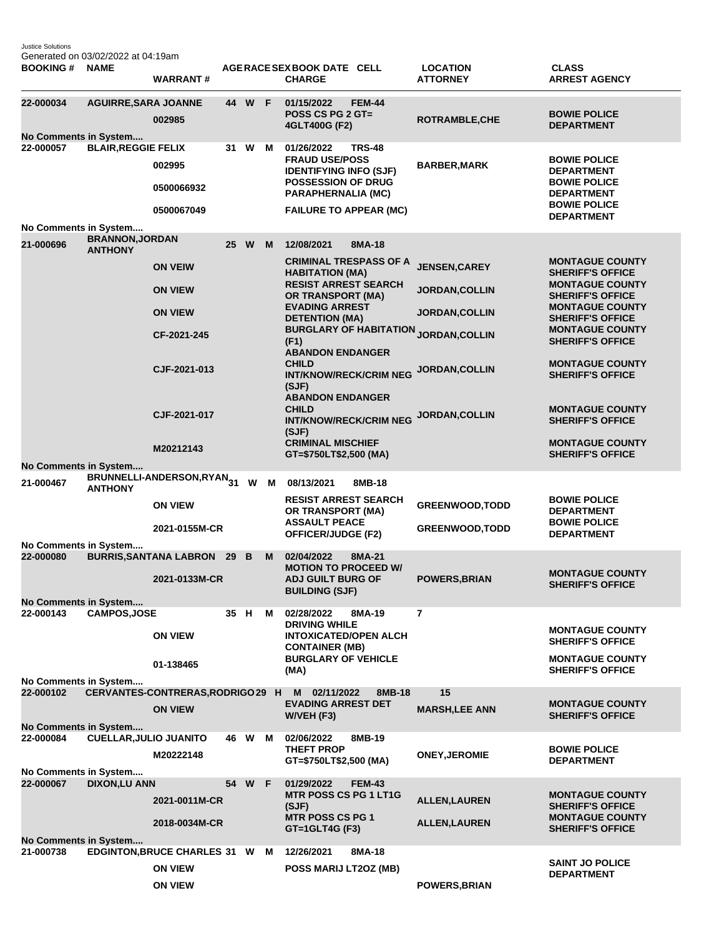Justice Solutions Generated on 03/02/2022 at 04:19am

| <b>BOOKING # NAME</b>                                              | OCHCHAICU OH OO/OZ/ZOZZ al OT. IJAIH                                                 | <b>WARRANT#</b>                                                    |                 |        |                                                                                             | AGERACE SEX BOOK DATE CELL<br><b>CHARGE</b>                                                                                                                                                                                                                                                                                              | <b>LOCATION</b><br><b>ATTORNEY</b>                | <b>CLASS</b><br><b>ARREST AGENCY</b>                                                                                             |
|--------------------------------------------------------------------|--------------------------------------------------------------------------------------|--------------------------------------------------------------------|-----------------|--------|---------------------------------------------------------------------------------------------|------------------------------------------------------------------------------------------------------------------------------------------------------------------------------------------------------------------------------------------------------------------------------------------------------------------------------------------|---------------------------------------------------|----------------------------------------------------------------------------------------------------------------------------------|
| 22-000034<br>No Comments in System                                 | <b>AGUIRRE, SARA JOANNE</b>                                                          | 002985                                                             |                 | 44 W F |                                                                                             | 01/15/2022<br><b>FEM-44</b><br><b>POSS CS PG 2 GT=</b><br>4GLT400G (F2)                                                                                                                                                                                                                                                                  | ROTRAMBLE, CHE                                    | <b>BOWIE POLICE</b><br><b>DEPARTMENT</b>                                                                                         |
| 22-000057                                                          | <b>BLAIR, REGGIE FELIX</b>                                                           | 002995<br>0500066932<br>0500067049                                 | 31              | W      | M                                                                                           | 01/26/2022<br><b>TRS-48</b><br><b>FRAUD USE/POSS</b><br><b>IDENTIFYING INFO (SJF)</b><br><b>POSSESSION OF DRUG</b><br><b>PARAPHERNALIA (MC)</b><br><b>FAILURE TO APPEAR (MC)</b>                                                                                                                                                         | <b>BARBER, MARK</b>                               | <b>BOWIE POLICE</b><br><b>DEPARTMENT</b><br><b>BOWIE POLICE</b><br><b>DEPARTMENT</b><br><b>BOWIE POLICE</b><br><b>DEPARTMENT</b> |
| No Comments in System                                              | <b>BRANNON, JORDAN</b>                                                               |                                                                    |                 |        |                                                                                             |                                                                                                                                                                                                                                                                                                                                          |                                                   |                                                                                                                                  |
| 21-000696                                                          | <b>ANTHONY</b>                                                                       | <b>ON VEIW</b><br><b>ON VIEW</b>                                   | 25 <sub>2</sub> | W      | M                                                                                           | 12/08/2021<br>8MA-18<br><b>CRIMINAL TRESPASS OF A</b><br><b>JENSEN, CAREY</b><br><b>HABITATION (MA)</b><br><b>RESIST ARREST SEARCH</b><br><b>JORDAN, COLLIN</b><br><b>OR TRANSPORT (MA)</b><br><b>EVADING ARREST</b><br><b>JORDAN, COLLIN</b><br><b>DETENTION (MA)</b><br><b>BURGLARY OF HABITATION</b><br><b>JORDAN, COLLIN</b><br>(F1) |                                                   | <b>MONTAGUE COUNTY</b><br><b>SHERIFF'S OFFICE</b><br><b>MONTAGUE COUNTY</b><br><b>SHERIFF'S OFFICE</b>                           |
|                                                                    |                                                                                      | <b>ON VIEW</b><br>CF-2021-245                                      |                 |        |                                                                                             |                                                                                                                                                                                                                                                                                                                                          |                                                   | <b>MONTAGUE COUNTY</b><br><b>SHERIFF'S OFFICE</b><br><b>MONTAGUE COUNTY</b><br><b>SHERIFF'S OFFICE</b>                           |
|                                                                    |                                                                                      | CJF-2021-013                                                       |                 |        |                                                                                             | <b>ABANDON ENDANGER</b><br><b>CHILD</b><br><b>INT/KNOW/RECK/CRIM NEG</b><br>(SJF)<br><b>ABANDON ENDANGER</b>                                                                                                                                                                                                                             | JORDAN, COLLIN                                    | <b>MONTAGUE COUNTY</b><br><b>SHERIFF'S OFFICE</b>                                                                                |
|                                                                    |                                                                                      | CJF-2021-017                                                       |                 |        |                                                                                             | <b>CHILD</b><br><b>INT/KNOW/RECK/CRIM NEG</b><br>(SJF)                                                                                                                                                                                                                                                                                   | JORDAN, COLLIN                                    | <b>MONTAGUE COUNTY</b><br><b>SHERIFF'S OFFICE</b>                                                                                |
|                                                                    |                                                                                      | M20212143                                                          |                 |        |                                                                                             | <b>CRIMINAL MISCHIEF</b><br>GT=\$750LT\$2,500 (MA)                                                                                                                                                                                                                                                                                       |                                                   | <b>MONTAGUE COUNTY</b><br><b>SHERIFF'S OFFICE</b>                                                                                |
| 21-000467                                                          | No Comments in System<br>BRUNNELLI-ANDERSON,RYAN <sub>31</sub> W M<br><b>ANTHONY</b> |                                                                    |                 |        |                                                                                             | 08/13/2021<br>8MB-18                                                                                                                                                                                                                                                                                                                     |                                                   |                                                                                                                                  |
|                                                                    |                                                                                      | <b>ON VIEW</b><br>2021-0155M-CR                                    |                 |        |                                                                                             | <b>RESIST ARREST SEARCH</b><br>OR TRANSPORT (MA)<br><b>ASSAULT PEACE</b>                                                                                                                                                                                                                                                                 | <b>GREENWOOD, TODD</b><br><b>GREENWOOD, TODD</b>  | <b>BOWIE POLICE</b><br><b>DEPARTMENT</b><br><b>BOWIE POLICE</b>                                                                  |
| No Comments in System                                              |                                                                                      |                                                                    |                 |        |                                                                                             | OFFICER/JUDGE (F2)                                                                                                                                                                                                                                                                                                                       |                                                   | <b>DEPARTMENT</b>                                                                                                                |
| 22-000080<br><b>No Comments in System</b>                          |                                                                                      | <b>BURRIS, SANTANA LABRON 29 B</b><br>2021-0133M-CR                |                 |        | M                                                                                           | 02/04/2022<br>8MA-21<br><b>MOTION TO PROCEED W/</b><br><b>ADJ GUILT BURG OF</b><br><b>BUILDING (SJF)</b>                                                                                                                                                                                                                                 | <b>POWERS, BRIAN</b>                              | <b>MONTAGUE COUNTY</b><br><b>SHERIFF'S OFFICE</b>                                                                                |
| 22-000143                                                          | <b>CAMPOS.JOSE</b>                                                                   |                                                                    |                 | 35 H M |                                                                                             | 02/28/2022<br>8MA-19<br><b>DRIVING WHILE</b>                                                                                                                                                                                                                                                                                             | $\overline{7}$                                    |                                                                                                                                  |
|                                                                    |                                                                                      | <b>ON VIEW</b>                                                     |                 |        | <b>INTOXICATED/OPEN ALCH</b><br><b>CONTAINER (MB)</b><br><b>BURGLARY OF VEHICLE</b><br>(MA) |                                                                                                                                                                                                                                                                                                                                          | <b>MONTAGUE COUNTY</b><br><b>SHERIFF'S OFFICE</b> |                                                                                                                                  |
|                                                                    |                                                                                      | 01-138465                                                          |                 |        |                                                                                             |                                                                                                                                                                                                                                                                                                                                          | <b>MONTAGUE COUNTY</b><br><b>SHERIFF'S OFFICE</b> |                                                                                                                                  |
| No Comments in System<br>22-000102                                 |                                                                                      | CERVANTES-CONTRERAS, RODRIGO 29 H                                  |                 |        |                                                                                             | M<br>02/11/2022<br>8MB-18                                                                                                                                                                                                                                                                                                                | 15                                                |                                                                                                                                  |
| <b>No Comments in System</b>                                       |                                                                                      | <b>ON VIEW</b>                                                     |                 |        |                                                                                             | <b>EVADING ARREST DET</b><br>$W/VEH$ (F3)                                                                                                                                                                                                                                                                                                | <b>MARSH, LEE ANN</b>                             | <b>MONTAGUE COUNTY</b><br><b>SHERIFF'S OFFICE</b>                                                                                |
| 22-000084                                                          | <b>CUELLAR, JULIO JUANITO</b>                                                        | M20222148                                                          |                 | 46 W M |                                                                                             | 8MB-19<br>02/06/2022<br><b>THEFT PROP</b><br>GT=\$750LT\$2,500 (MA)                                                                                                                                                                                                                                                                      | <b>ONEY, JEROMIE</b>                              | <b>BOWIE POLICE</b><br><b>DEPARTMENT</b>                                                                                         |
| No Comments in System<br>22-000067<br><b>No Comments in System</b> | <b>DIXON,LU ANN</b>                                                                  | 2021-0011M-CR<br>2018-0034M-CR                                     |                 | 54 W F |                                                                                             | 01/29/2022<br><b>FEM-43</b><br><b>MTR POSS CS PG 1 LT1G</b><br>(SJF)<br><b>MTR POSS CS PG 1</b><br>GT=1GLT4G (F3)                                                                                                                                                                                                                        | <b>ALLEN, LAUREN</b><br><b>ALLEN, LAUREN</b>      | <b>MONTAGUE COUNTY</b><br><b>SHERIFF'S OFFICE</b><br><b>MONTAGUE COUNTY</b><br><b>SHERIFF'S OFFICE</b>                           |
| 21-000738                                                          |                                                                                      | EDGINTON, BRUCE CHARLES 31 W M<br><b>ON VIEW</b><br><b>ON VIEW</b> |                 |        |                                                                                             | 12/26/2021<br>8MA-18<br>POSS MARIJ LT2OZ (MB)                                                                                                                                                                                                                                                                                            | <b>POWERS, BRIAN</b>                              | <b>SAINT JO POLICE</b><br><b>DEPARTMENT</b>                                                                                      |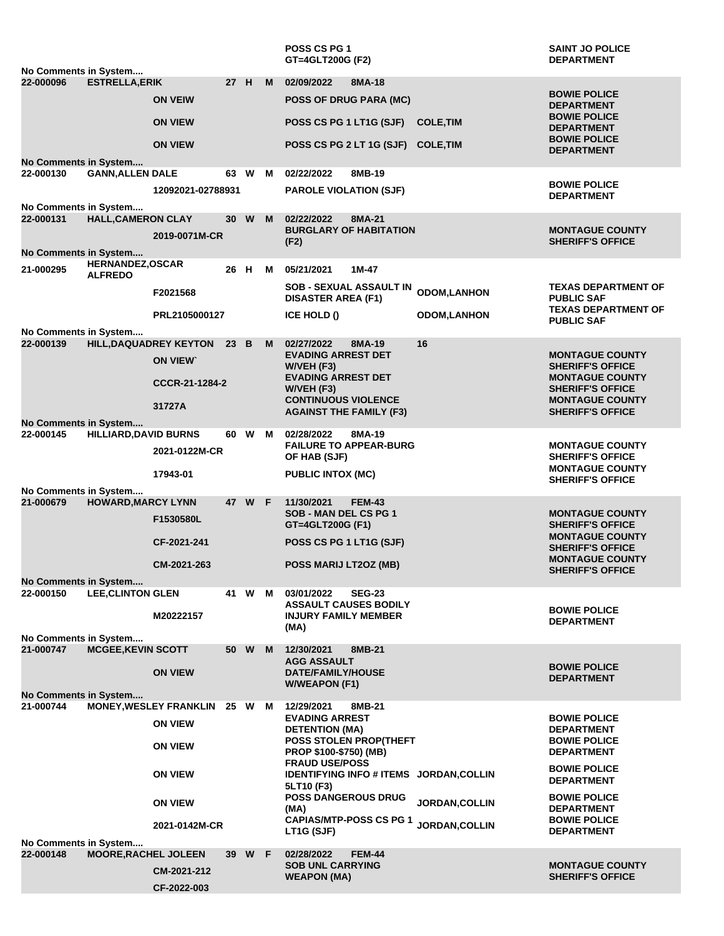| No Comments in System                                |                                    |                               |      |                |                                    | POSS CS PG 1<br>GT=4GLT200G (F2)                                 |                                          | <b>SAINT JO POLICE</b><br><b>DEPARTMENT</b>       |  |  |
|------------------------------------------------------|------------------------------------|-------------------------------|------|----------------|------------------------------------|------------------------------------------------------------------|------------------------------------------|---------------------------------------------------|--|--|
| 22-000096                                            | <b>ESTRELLA, ERIK</b>              |                               | 27 H |                | M                                  | 02/09/2022<br>8MA-18                                             |                                          |                                                   |  |  |
|                                                      |                                    | <b>ON VEIW</b>                |      |                | <b>POSS OF DRUG PARA (MC)</b>      |                                                                  | <b>BOWIE POLICE</b><br><b>DEPARTMENT</b> |                                                   |  |  |
|                                                      |                                    | <b>ON VIEW</b>                |      |                |                                    | POSS CS PG 1 LT1G (SJF)                                          | <b>COLE, TIM</b>                         | <b>BOWIE POLICE</b><br><b>DEPARTMENT</b>          |  |  |
| No Comments in System                                | <b>ON VIEW</b>                     |                               |      |                | POSS CS PG 2 LT 1G (SJF) COLE, TIM |                                                                  | <b>BOWIE POLICE</b><br><b>DEPARTMENT</b> |                                                   |  |  |
| 22-000130                                            | <b>GANN, ALLEN DALE</b>            |                               |      | 63 W M         |                                    | 02/22/2022<br>8MB-19                                             |                                          |                                                   |  |  |
|                                                      |                                    | 12092021-02788931             |      |                |                                    | <b>PAROLE VIOLATION (SJF)</b>                                    |                                          | <b>BOWIE POLICE</b><br><b>DEPARTMENT</b>          |  |  |
| No Comments in System                                |                                    |                               |      |                |                                    |                                                                  |                                          |                                                   |  |  |
| 22-000131                                            | <b>HALL, CAMERON CLAY</b>          |                               |      | 30 W           | M                                  | 02/22/2022<br>8MA-21<br><b>BURGLARY OF HABITATION</b>            |                                          | <b>MONTAGUE COUNTY</b>                            |  |  |
|                                                      |                                    | 2019-0071M-CR                 |      |                |                                    | (F2)                                                             |                                          | <b>SHERIFF'S OFFICE</b>                           |  |  |
| No Comments in System                                |                                    |                               |      |                |                                    |                                                                  |                                          |                                                   |  |  |
| 21-000295                                            | HERNANDEZ, OSCAR<br><b>ALFREDO</b> |                               | 26 H |                | м                                  | 05/21/2021<br>1M-47                                              |                                          |                                                   |  |  |
|                                                      |                                    | F2021568                      |      |                |                                    | <b>SOB - SEXUAL ASSAULT IN</b><br><b>DISASTER AREA (F1)</b>      | <b>ODOM,LANHON</b>                       | <b>TEXAS DEPARTMENT OF</b><br><b>PUBLIC SAF</b>   |  |  |
|                                                      |                                    | PRL2105000127                 |      |                |                                    | ICE HOLD ()                                                      | <b>ODOM,LANHON</b>                       | <b>TEXAS DEPARTMENT OF</b>                        |  |  |
| No Comments in System                                |                                    |                               |      |                |                                    |                                                                  |                                          | <b>PUBLIC SAF</b>                                 |  |  |
| 22-000139                                            |                                    | <b>HILL, DAQUADREY KEYTON</b> | 23   | $\overline{B}$ | M                                  | 02/27/2022<br>8MA-19                                             | 16                                       |                                                   |  |  |
|                                                      |                                    | <b>ON VIEW</b>                |      |                |                                    | <b>EVADING ARREST DET</b><br>$W/NEH$ (F3)                        |                                          | <b>MONTAGUE COUNTY</b><br><b>SHERIFF'S OFFICE</b> |  |  |
|                                                      |                                    | CCCR-21-1284-2                |      |                |                                    | <b>EVADING ARREST DET</b>                                        |                                          | <b>MONTAGUE COUNTY</b>                            |  |  |
|                                                      |                                    |                               |      |                |                                    | $W/NEH$ (F3)<br><b>CONTINUOUS VIOLENCE</b>                       |                                          | <b>SHERIFF'S OFFICE</b><br><b>MONTAGUE COUNTY</b> |  |  |
|                                                      |                                    | 31727A                        |      |                |                                    | <b>AGAINST THE FAMILY (F3)</b>                                   |                                          | <b>SHERIFF'S OFFICE</b>                           |  |  |
| No Comments in System                                |                                    |                               |      |                |                                    |                                                                  |                                          |                                                   |  |  |
| 22-000145                                            | <b>HILLIARD, DAVID BURNS</b>       |                               | 60 W |                | м                                  | 02/28/2022<br>8MA-19<br><b>FAILURE TO APPEAR-BURG</b>            |                                          | <b>MONTAGUE COUNTY</b>                            |  |  |
|                                                      |                                    | 2021-0122M-CR                 |      |                |                                    | OF HAB (SJF)                                                     |                                          | <b>SHERIFF'S OFFICE</b>                           |  |  |
|                                                      |                                    | 17943-01                      |      |                |                                    | <b>PUBLIC INTOX (MC)</b>                                         |                                          | <b>MONTAGUE COUNTY</b>                            |  |  |
|                                                      |                                    |                               |      |                |                                    |                                                                  | <b>SHERIFF'S OFFICE</b>                  |                                                   |  |  |
| No Comments in System<br>21-000679                   | <b>HOWARD, MARCY LYNN</b>          |                               |      | 47 W F         |                                    | 11/30/2021<br><b>FEM-43</b>                                      |                                          |                                                   |  |  |
|                                                      |                                    | F1530580L                     |      |                |                                    | SOB - MAN DEL CS PG 1                                            |                                          | <b>MONTAGUE COUNTY</b>                            |  |  |
|                                                      |                                    |                               |      |                |                                    | GT=4GLT200G (F1)                                                 |                                          | <b>SHERIFF'S OFFICE</b>                           |  |  |
|                                                      |                                    | CF-2021-241                   |      |                |                                    | POSS CS PG 1 LT1G (SJF)                                          |                                          | <b>MONTAGUE COUNTY</b><br><b>SHERIFF'S OFFICE</b> |  |  |
|                                                      |                                    | CM-2021-263                   |      |                |                                    | POSS MARIJ LT2OZ (MB)                                            |                                          | <b>MONTAGUE COUNTY</b>                            |  |  |
|                                                      |                                    |                               |      |                |                                    |                                                                  |                                          | <b>SHERIFF'S OFFICE</b>                           |  |  |
| No Comments in System<br>22-000150                   | <b>LEE, CLINTON GLEN</b>           |                               |      | 41 W           | M                                  | 03/01/2022<br><b>SEG-23</b>                                      |                                          |                                                   |  |  |
|                                                      |                                    |                               |      |                |                                    | <b>ASSAULT CAUSES BODILY</b>                                     |                                          |                                                   |  |  |
|                                                      |                                    | M20222157                     |      |                |                                    | <b>INJURY FAMILY MEMBER</b>                                      |                                          | <b>BOWIE POLICE</b><br><b>DEPARTMENT</b>          |  |  |
| No Comments in System                                |                                    |                               |      |                |                                    | (MA)                                                             |                                          |                                                   |  |  |
| 21-000747                                            | <b>MCGEE, KEVIN SCOTT</b>          |                               |      | 50 W           | M                                  | 8MB-21<br>12/30/2021                                             |                                          |                                                   |  |  |
|                                                      |                                    |                               |      |                |                                    | <b>AGG ASSAULT</b>                                               |                                          | <b>BOWIE POLICE</b>                               |  |  |
|                                                      |                                    | <b>ON VIEW</b>                |      |                |                                    | <b>DATE/FAMILY/HOUSE</b>                                         |                                          | <b>DEPARTMENT</b>                                 |  |  |
| <b>W/WEAPON (F1)</b><br><b>No Comments in System</b> |                                    |                               |      |                |                                    |                                                                  |                                          |                                                   |  |  |
| 21-000744                                            |                                    | <b>MONEY, WESLEY FRANKLIN</b> | 25 W |                | M                                  | 12/29/2021<br>8MB-21                                             |                                          |                                                   |  |  |
|                                                      |                                    | <b>ON VIEW</b>                |      |                |                                    | <b>EVADING ARREST</b><br><b>DETENTION (MA)</b>                   |                                          | <b>BOWIE POLICE</b><br><b>DEPARTMENT</b>          |  |  |
|                                                      |                                    | <b>ON VIEW</b>                |      |                |                                    | POSS STOLEN PROP(THEFT<br>PROP \$100-\$750) (MB)                 |                                          | <b>BOWIE POLICE</b><br><b>DEPARTMENT</b>          |  |  |
|                                                      |                                    | <b>ON VIEW</b>                |      |                |                                    | <b>FRAUD USE/POSS</b><br>IDENTIFYING INFO # ITEMS JORDAN, COLLIN |                                          | <b>BOWIE POLICE</b><br><b>DEPARTMENT</b>          |  |  |
|                                                      |                                    |                               |      |                |                                    | 5LT10 (F3)<br><b>POSS DANGEROUS DRUG</b>                         |                                          | <b>BOWIE POLICE</b>                               |  |  |
|                                                      |                                    | <b>ON VIEW</b>                |      |                |                                    | (MA)                                                             | JORDAN, COLLIN                           | <b>DEPARTMENT</b>                                 |  |  |
|                                                      |                                    | 2021-0142M-CR                 |      |                |                                    | <b>CAPIAS/MTP-POSS CS PG 1</b><br>LT1G (SJF)                     | JORDAN, COLLIN                           | <b>BOWIE POLICE</b><br><b>DEPARTMENT</b>          |  |  |
| No Comments in System                                |                                    |                               |      |                |                                    |                                                                  |                                          |                                                   |  |  |
| 22-000148                                            | <b>MOORE, RACHEL JOLEEN</b>        |                               |      | 39 W           | F                                  | 02/28/2022<br><b>FEM-44</b>                                      |                                          |                                                   |  |  |
|                                                      |                                    | CM-2021-212                   |      |                |                                    | <b>SOB UNL CARRYING</b><br><b>WEAPON (MA)</b>                    |                                          | <b>MONTAGUE COUNTY</b><br><b>SHERIFF'S OFFICE</b> |  |  |
|                                                      |                                    | CF-2022-003                   |      |                |                                    |                                                                  |                                          |                                                   |  |  |
|                                                      |                                    |                               |      |                |                                    |                                                                  |                                          |                                                   |  |  |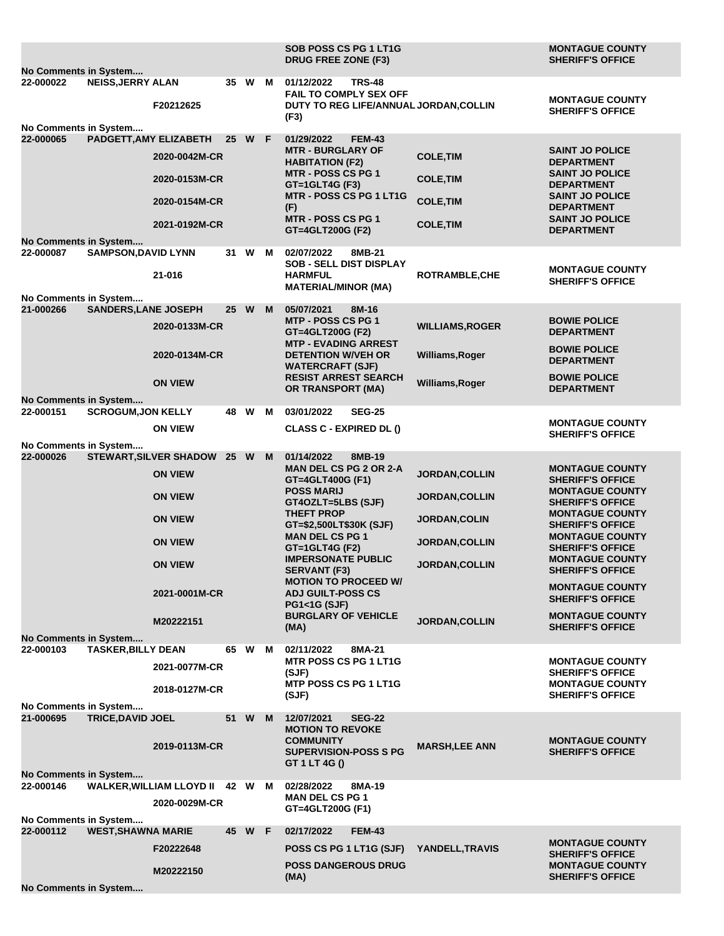|                                                                                                         |                             |                                               |      |        |   | SOB POSS CS PG 1 LT1G<br><b>DRUG FREE ZONE (F3)</b>                                                                                                                         |                        | <b>MONTAGUE COUNTY</b><br><b>SHERIFF'S OFFICE</b>                            |
|---------------------------------------------------------------------------------------------------------|-----------------------------|-----------------------------------------------|------|--------|---|-----------------------------------------------------------------------------------------------------------------------------------------------------------------------------|------------------------|------------------------------------------------------------------------------|
| No Comments in System<br><b>NEISS, JERRY ALAN</b><br>22-000022<br>35 W M<br>01/12/2022<br><b>TRS-48</b> |                             |                                               |      |        |   |                                                                                                                                                                             |                        |                                                                              |
| No Comments in System                                                                                   |                             | F20212625                                     |      |        |   | <b>FAIL TO COMPLY SEX OFF</b><br>DUTY TO REG LIFE/ANNUAL JORDAN, COLLIN<br>(F3)                                                                                             |                        | <b>MONTAGUE COUNTY</b><br><b>SHERIFF'S OFFICE</b>                            |
| 22-000065                                                                                               | PADGETT, AMY ELIZABETH      |                                               |      | 25 W F |   | 01/29/2022<br><b>FEM-43</b>                                                                                                                                                 |                        |                                                                              |
|                                                                                                         |                             | 2020-0042M-CR                                 |      |        |   | <b>MTR - BURGLARY OF</b><br><b>HABITATION (F2)</b><br><b>MTR - POSS CS PG 1</b><br>$GT = 1$ GLT4G (F3)<br><b>MTR - POSS CS PG 1 LT1G</b><br>(F)                             | <b>COLE, TIM</b>       | <b>SAINT JO POLICE</b><br><b>DEPARTMENT</b>                                  |
|                                                                                                         |                             | 2020-0153M-CR                                 |      |        |   |                                                                                                                                                                             | <b>COLE, TIM</b>       | <b>SAINT JO POLICE</b><br><b>DEPARTMENT</b>                                  |
|                                                                                                         |                             | 2020-0154M-CR                                 |      |        |   |                                                                                                                                                                             | <b>COLE, TIM</b>       | <b>SAINT JO POLICE</b><br><b>DEPARTMENT</b>                                  |
|                                                                                                         |                             | 2021-0192M-CR                                 |      |        |   | <b>MTR - POSS CS PG 1</b><br>GT=4GLT200G (F2)                                                                                                                               | <b>COLE, TIM</b>       | <b>SAINT JO POLICE</b><br><b>DEPARTMENT</b>                                  |
| No Comments in System<br>22-000087                                                                      | <b>SAMPSON, DAVID LYNN</b>  |                                               |      | 31 W M |   | 02/07/2022<br>8MB-21<br><b>SOB - SELL DIST DISPLAY</b>                                                                                                                      |                        |                                                                              |
|                                                                                                         |                             | 21-016                                        |      |        |   | <b>HARMFUL</b><br><b>MATERIAL/MINOR (MA)</b>                                                                                                                                | <b>ROTRAMBLE, CHE</b>  | <b>MONTAGUE COUNTY</b><br><b>SHERIFF'S OFFICE</b>                            |
| No Comments in System                                                                                   |                             |                                               |      |        |   |                                                                                                                                                                             |                        |                                                                              |
| 21-000266                                                                                               | <b>SANDERS, LANE JOSEPH</b> |                                               | 25 W |        | M | 05/07/2021<br>8M-16                                                                                                                                                         |                        |                                                                              |
|                                                                                                         |                             | 2020-0133M-CR                                 |      |        |   | MTP - POSS CS PG 1<br>GT=4GLT200G (F2)<br><b>MTP - EVADING ARREST</b><br><b>DETENTION W/VEH OR</b><br><b>WATERCRAFT (SJF)</b>                                               | <b>WILLIAMS, ROGER</b> | <b>BOWIE POLICE</b><br><b>DEPARTMENT</b>                                     |
|                                                                                                         |                             | 2020-0134M-CR                                 |      |        |   |                                                                                                                                                                             | Williams, Roger        | <b>BOWIE POLICE</b><br><b>DEPARTMENT</b>                                     |
|                                                                                                         |                             | <b>ON VIEW</b>                                |      |        |   | <b>RESIST ARREST SEARCH</b><br>OR TRANSPORT (MA)                                                                                                                            | Williams, Roger        | <b>BOWIE POLICE</b><br><b>DEPARTMENT</b>                                     |
| No Comments in System                                                                                   |                             |                                               |      |        |   |                                                                                                                                                                             |                        |                                                                              |
| 22-000151                                                                                               | <b>SCROGUM, JON KELLY</b>   |                                               | 48 W |        | м | 03/01/2022<br><b>SEG-25</b>                                                                                                                                                 |                        | <b>MONTAGUE COUNTY</b>                                                       |
|                                                                                                         |                             | <b>ON VIEW</b>                                |      |        |   | <b>CLASS C - EXPIRED DL ()</b>                                                                                                                                              |                        | <b>SHERIFF'S OFFICE</b>                                                      |
| No Comments in System                                                                                   |                             |                                               |      |        |   |                                                                                                                                                                             |                        |                                                                              |
| 22-000026                                                                                               |                             | STEWART, SILVER SHADOW 25 W<br><b>ON VIEW</b> |      |        | M | 01/14/2022<br>8MB-19<br><b>MAN DEL CS PG 2 OR 2-A</b>                                                                                                                       | JORDAN, COLLIN         | <b>MONTAGUE COUNTY</b>                                                       |
|                                                                                                         |                             | <b>ON VIEW</b>                                |      |        |   | GT=4GLT400G (F1)<br><b>POSS MARIJ</b><br>GT4OZLT=5LBS (SJF)                                                                                                                 | <b>JORDAN, COLLIN</b>  | <b>SHERIFF'S OFFICE</b><br><b>MONTAGUE COUNTY</b>                            |
|                                                                                                         |                             | <b>ON VIEW</b>                                |      |        |   | <b>THEFT PROP</b><br>GT=\$2,500LT\$30K (SJF)                                                                                                                                | <b>JORDAN, COLIN</b>   | <b>SHERIFF'S OFFICE</b><br><b>MONTAGUE COUNTY</b><br><b>SHERIFF'S OFFICE</b> |
|                                                                                                         |                             | <b>ON VIEW</b>                                |      |        |   | <b>MAN DEL CS PG 1</b><br>GT=1GLT4G (F2)                                                                                                                                    | <b>JORDAN, COLLIN</b>  | <b>MONTAGUE COUNTY</b><br><b>SHERIFF'S OFFICE</b>                            |
|                                                                                                         |                             | <b>ON VIEW</b>                                |      |        |   | <b>IMPERSONATE PUBLIC</b><br><b>SERVANT (F3)</b><br><b>MOTION TO PROCEED W/</b><br><b>ADJ GUILT-POSS CS</b><br><b>PG1&lt;1G (SJF)</b><br><b>BURGLARY OF VEHICLE</b><br>(MA) | JORDAN, COLLIN         | <b>MONTAGUE COUNTY</b><br><b>SHERIFF'S OFFICE</b>                            |
|                                                                                                         |                             | 2021-0001M-CR                                 |      |        |   |                                                                                                                                                                             |                        | <b>MONTAGUE COUNTY</b><br><b>SHERIFF'S OFFICE</b>                            |
|                                                                                                         |                             | M20222151                                     |      |        |   |                                                                                                                                                                             | JORDAN, COLLIN         | <b>MONTAGUE COUNTY</b><br><b>SHERIFF'S OFFICE</b>                            |
| No Comments in System                                                                                   |                             |                                               |      |        |   |                                                                                                                                                                             |                        |                                                                              |
| 22-000103                                                                                               | <b>TASKER, BILLY DEAN</b>   |                                               |      | 65 W   | M | 02/11/2022<br>8MA-21<br>MTR POSS CS PG 1 LT1G                                                                                                                               |                        | <b>MONTAGUE COUNTY</b>                                                       |
|                                                                                                         |                             | 2021-0077M-CR                                 |      |        |   | (SJF)<br>MTP POSS CS PG 1 LT1G                                                                                                                                              |                        | <b>SHERIFF'S OFFICE</b><br><b>MONTAGUE COUNTY</b>                            |
|                                                                                                         |                             | 2018-0127M-CR                                 |      |        |   | (SJF)                                                                                                                                                                       |                        | <b>SHERIFF'S OFFICE</b>                                                      |
| No Comments in System                                                                                   |                             |                                               |      |        |   |                                                                                                                                                                             |                        |                                                                              |
| 21-000695                                                                                               | <b>TRICE, DAVID JOEL</b>    |                                               |      | 51 W   | M | 12/07/2021<br><b>SEG-22</b><br><b>MOTION TO REVOKE</b>                                                                                                                      |                        |                                                                              |
|                                                                                                         |                             | 2019-0113M-CR                                 |      |        |   | <b>COMMUNITY</b><br><b>SUPERVISION-POSS S PG</b><br>GT 1 LT 4G ()                                                                                                           | <b>MARSH, LEE ANN</b>  | <b>MONTAGUE COUNTY</b><br><b>SHERIFF'S OFFICE</b>                            |
| No Comments in System                                                                                   |                             |                                               |      |        |   |                                                                                                                                                                             |                        |                                                                              |
| 22-000146                                                                                               |                             | WALKER, WILLIAM LLOYD II 42 W                 |      |        | M | 02/28/2022<br>8MA-19                                                                                                                                                        |                        |                                                                              |
| No Comments in System                                                                                   |                             | 2020-0029M-CR                                 |      |        |   | <b>MAN DEL CS PG 1</b><br>GT=4GLT200G (F1)                                                                                                                                  |                        |                                                                              |
| W F<br>22-000112<br><b>WEST, SHAWNA MARIE</b><br>45<br>02/17/2022<br><b>FEM-43</b>                      |                             |                                               |      |        |   |                                                                                                                                                                             |                        |                                                                              |
|                                                                                                         |                             | F20222648                                     |      |        |   | POSS CS PG 1 LT1G (SJF)                                                                                                                                                     | YANDELL, TRAVIS        | <b>MONTAGUE COUNTY</b><br><b>SHERIFF'S OFFICE</b>                            |
|                                                                                                         |                             | M20222150                                     |      |        |   | <b>POSS DANGEROUS DRUG</b><br>(MA)                                                                                                                                          |                        | <b>MONTAGUE COUNTY</b><br><b>SHERIFF'S OFFICE</b>                            |
| No Comments in System                                                                                   |                             |                                               |      |        |   |                                                                                                                                                                             |                        |                                                                              |